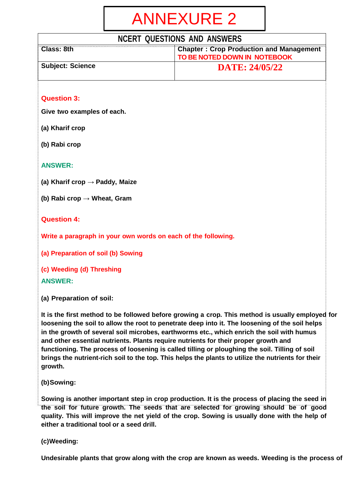# ANNEXURE 2

## **NCERT QUESTIONS AND ANSWERS**

| Class: 8th              | <b>Chapter: Crop Production and Management</b><br><b>TO BE NOTED DOWN IN NOTEBOOK</b> |
|-------------------------|---------------------------------------------------------------------------------------|
| <b>Subject: Science</b> | <b>DATE: 24/05/22</b>                                                                 |

#### **Question 3:**

**Give two examples of each.**

**(a) Kharif crop**

**(b) Rabi crop**

#### **ANSWER:**

**(a) Kharif crop → Paddy, Maize**

**(b) Rabi crop → Wheat, Gram**

#### **Question 4:**

**Write a paragraph in your own words on each of the following.**

**(a) Preparation of soil (b) Sowing**

**(c) Weeding (d) Threshing ANSWER:**

**(a) Preparation of soil:**

**It is the first method to be followed before growing a crop. This method is usually employed for loosening the soil to allow the root to penetrate deep into it. The loosening of the soil helps in the growth of several soil microbes, earthworms etc., which enrich the soil with humus and other essential nutrients. Plants require nutrients for their proper growth and functioning. The process of loosening is called tilling or ploughing the soil. Tilling of soil brings the nutrient-rich soil to the top. This helps the plants to utilize the nutrients for their growth.**

**(b)Sowing:**

**Sowing is another important step in crop production. It is the process of placing the seed in the soil for future growth. The seeds that are selected for growing should be of good quality. This will improve the net yield of the crop. Sowing is usually done with the help of either a traditional tool or a seed drill.**

**(c)Weeding:**

**Undesirable plants that grow along with the crop are known as weeds. Weeding is the process of**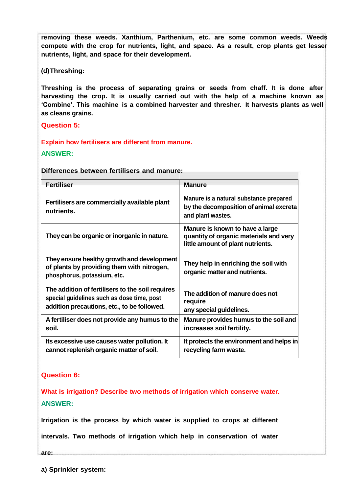**removing these weeds. Xanthium, Parthenium, etc. are some common weeds. Weeds compete with the crop for nutrients, light, and space. As a result, crop plants get lesser nutrients, light, and space for their development.**

**(d)Threshing:**

**Threshing is the process of separating grains or seeds from chaff. It is done after harvesting the crop. It is usually carried out with the help of a machine known as 'Combine'. This machine is a combined harvester and thresher. It harvests plants as well as cleans grains.**

**Question 5:**

#### **Explain how fertilisers are different from manure.**

#### **ANSWER:**

**Differences between fertilisers and manure:**

| <b>Fertiliser</b>                                                                                                                             | <b>Manure</b>                                                                                                  |
|-----------------------------------------------------------------------------------------------------------------------------------------------|----------------------------------------------------------------------------------------------------------------|
| Fertilisers are commercially available plant<br>nutrients.                                                                                    | Manure is a natural substance prepared<br>by the decomposition of animal excreta<br>and plant wastes.          |
| They can be organic or inorganic in nature.                                                                                                   | Manure is known to have a large<br>quantity of organic materials and very<br>little amount of plant nutrients. |
| They ensure healthy growth and development<br>of plants by providing them with nitrogen,<br>phosphorus, potassium, etc.                       | They help in enriching the soil with<br>organic matter and nutrients.                                          |
| The addition of fertilisers to the soil requires<br>special guidelines such as dose time, post<br>addition precautions, etc., to be followed. | The addition of manure does not<br>require<br>any special guidelines.                                          |
| A fertiliser does not provide any humus to the<br>soil.                                                                                       | Manure provides humus to the soil and<br>increases soil fertility.                                             |
| Its excessive use causes water pollution. It<br>cannot replenish organic matter of soil.                                                      | It protects the environment and helps in<br>recycling farm waste.                                              |

#### **Question 6:**

**What is irrigation? Describe two methods of irrigation which conserve water. ANSWER:**

**Irrigation is the process by which water is supplied to crops at different**

**intervals. Two methods of irrigation which help in conservation of water**

**are:**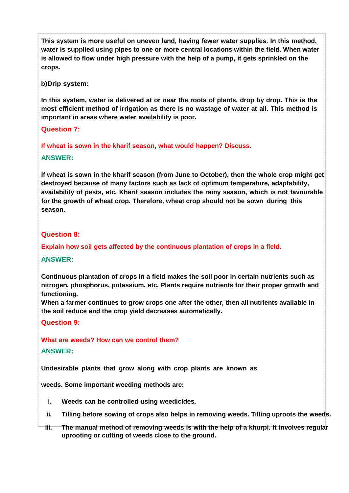**This system is more useful on uneven land, having fewer water supplies. In this method, water is supplied using pipes to one or more central locations within the field. When water is allowed to flow under high pressure with the help of a pump, it gets sprinkled on the crops.**

**b)Drip system:**

**In this system, water is delivered at or near the roots of plants, drop by drop. This is the most efficient method of irrigation as there is no wastage of water at all. This method is important in areas where water availability is poor.**

#### **Question 7:**

**If wheat is sown in the kharif season, what would happen? Discuss.**

#### **ANSWER:**

**If wheat is sown in the kharif season (from June to October), then the whole crop might get destroyed because of many factors such as lack of optimum temperature, adaptability, availability of pests, etc. Kharif season includes the rainy season, which is not favourable for the growth of wheat crop. Therefore, wheat crop should not be sown during this season.**

#### **Question 8:**

**Explain how soil gets affected by the continuous plantation of crops in a field.**

#### **ANSWER:**

**Continuous plantation of crops in a field makes the soil poor in certain nutrients such as nitrogen, phosphorus, potassium, etc. Plants require nutrients for their proper growth and functioning.**

**When a farmer continues to grow crops one after the other, then all nutrients available in the soil reduce and the crop yield decreases automatically.**

**Question 9:**

**What are weeds? How can we control them?**

#### **ANSWER:**

**Undesirable plants that grow along with crop plants are known as**

**weeds. Some important weeding methods are:**

- **i. Weeds can be controlled using weedicides.**
- **ii. Tilling before sowing of crops also helps in removing weeds. Tilling uproots the weeds.**
- **iii. The manual method of removing weeds is with the help of a khurpi. It involves regular uprooting or cutting of weeds close to the ground.**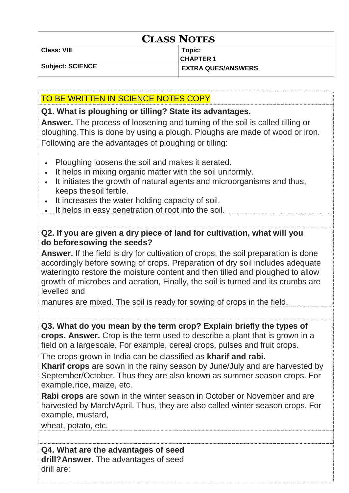## **CLASS NOTES**

**Class: VIII Topic:**

**CHAPTER 1 Subject: SCIENCE EXTRA QUES/ANSWERS**

## TO BE WRITTEN IN SCIENCE NOTES COPY

### **Q1. What is ploughing or tilling? State its advantages.**

**Answer.** The process of loosening and turning of the soil is called tilling or ploughing.This is done by using a plough. Ploughs are made of wood or iron. Following are the advantages of ploughing or tilling:

- Ploughing loosens the soil and makes it aerated.
- It helps in mixing organic matter with the soil uniformly.
- It initiates the growth of natural agents and microorganisms and thus, keeps thesoil fertile.
- It increases the water holding capacity of soil.
- It helps in easy penetration of root into the soil.

## **Q2. If you are given a dry piece of land for cultivation, what will you do beforesowing the seeds?**

**Answer.** If the field is dry for cultivation of crops, the soil preparation is done accordingly before sowing of crops. Preparation of dry soil includes adequate wateringto restore the moisture content and then tilled and ploughed to allow growth of microbes and aeration, Finally, the soil is turned and its crumbs are levelled and

manures are mixed. The soil is ready for sowing of crops in the field.

**Q3. What do you mean by the term crop? Explain briefly the types of crops. Answer.** Crop is the term used to describe a plant that is grown in a field on a largescale. For example, cereal crops, pulses and fruit crops.

The crops grown in India can be classified as **kharif and rabi.**

**Kharif crops** are sown in the rainy season by June/July and are harvested by September/October. Thus they are also known as summer season crops. For example,rice, maize, etc.

**Rabi crops** are sown in the winter season in October or November and are harvested by March/April. Thus, they are also called winter season crops. For example, mustard,

wheat, potato, etc.

**Q4. What are the advantages of seed drill?Answer.** The advantages of seed drill are: